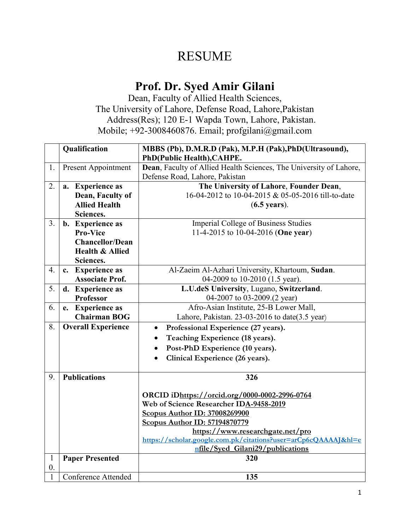## RESUME

## **Prof. Dr. Syed Amir Gilani**

Dean, Faculty of Allied Health Sciences, The University of Lahore, Defense Road, Lahore,Pakistan Address(Res); 120 E-1 Wapda Town, Lahore, Pakistan. Mobile; +92-3008460876. Email; profgilani@gmail.com

|                  | Qualification              | MBBS (Pb), D.M.R.D (Pak), M.P.H (Pak), PhD(Ultrasound),            |  |  |
|------------------|----------------------------|--------------------------------------------------------------------|--|--|
|                  |                            | PhD(Public Health), CAHPE.                                         |  |  |
| 1.               | <b>Present Appointment</b> | Dean, Faculty of Allied Health Sciences, The University of Lahore, |  |  |
|                  |                            | Defense Road, Lahore, Pakistan                                     |  |  |
| 2.               | a. Experience as           | The University of Lahore, Founder Dean,                            |  |  |
|                  | Dean, Faculty of           | 16-04-2012 to 10-04-2015 & 05-05-2016 till-to-date                 |  |  |
|                  | <b>Allied Health</b>       | $(6.5 \text{ years})$ .                                            |  |  |
|                  | Sciences.                  |                                                                    |  |  |
| 3 <sub>1</sub>   | b. Experience as           | <b>Imperial College of Business Studies</b>                        |  |  |
|                  | <b>Pro-Vice</b>            | 11-4-2015 to 10-04-2016 (One year)                                 |  |  |
|                  | <b>Chancellor/Dean</b>     |                                                                    |  |  |
|                  | <b>Health &amp; Allied</b> |                                                                    |  |  |
|                  | Sciences.                  |                                                                    |  |  |
| 4.               | c. Experience as           | Al-Zaeim Al-Azhari University, Khartoum, Sudan.                    |  |  |
|                  | <b>Associate Prof.</b>     | 04-2009 to 10-2010 (1.5 year).                                     |  |  |
| 5.               | d. Experience as           | L.U.deS University, Lugano, Switzerland.                           |  |  |
|                  | Professor                  | 04-2007 to 03-2009.(2 year)                                        |  |  |
| 6.               | e. Experience as           | Afro-Asian Institute, 25-B Lower Mall,                             |  |  |
|                  | <b>Chairman BOG</b>        | Lahore, Pakistan. 23-03-2016 to date $(3.5 \text{ year})$          |  |  |
| 8.               | <b>Overall Experience</b>  | Professional Experience (27 years).<br>$\bullet$                   |  |  |
|                  |                            | Teaching Experience (18 years).                                    |  |  |
|                  |                            | Post-PhD Experience (10 years).<br>$\bullet$                       |  |  |
|                  |                            | Clinical Experience (26 years).<br>$\bullet$                       |  |  |
|                  |                            |                                                                    |  |  |
| 9.               | <b>Publications</b>        | 326                                                                |  |  |
|                  |                            | ORCID iDhttps://orcid.org/0000-0002-2996-0764                      |  |  |
|                  |                            | Web of Science Researcher IDA-9458-2019                            |  |  |
|                  |                            | <b>Scopus Author ID: 37008269900</b>                               |  |  |
|                  |                            | <b>Scopus Author ID: 57194870779</b>                               |  |  |
|                  |                            | https://www.researchgate.net/pro                                   |  |  |
|                  |                            | https://scholar.google.com.pk/citations?user=arCp6cQAAAAJ&hl=e     |  |  |
|                  |                            | nfile/Syed_Gilani29/publications                                   |  |  |
| $\mathbf{1}$     | <b>Paper Presented</b>     | 320                                                                |  |  |
| $\overline{0}$ . |                            |                                                                    |  |  |
| 1                | <b>Conference Attended</b> | 135                                                                |  |  |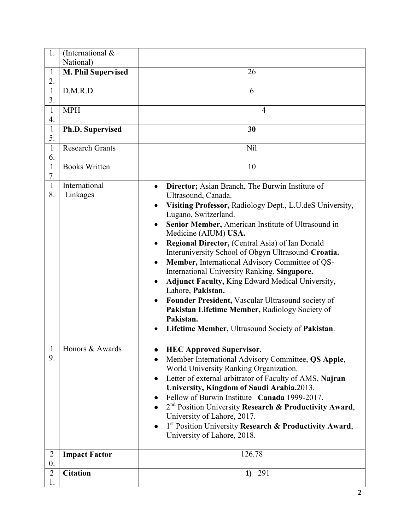| 1.                 | (International $&$        |                                                                                  |
|--------------------|---------------------------|----------------------------------------------------------------------------------|
|                    | National)                 |                                                                                  |
| $\mathbf{1}$       | <b>M. Phil Supervised</b> | 26                                                                               |
| 2.                 |                           |                                                                                  |
| $\mathbf{1}$       | D.M.R.D                   | 6                                                                                |
| 3.                 |                           |                                                                                  |
| $\mathbf{1}$<br>4. | <b>MPH</b>                | 4                                                                                |
| $\mathbf{1}$       | Ph.D. Supervised          | 30                                                                               |
| 5.                 |                           |                                                                                  |
| $\mathbf{1}$<br>6. | <b>Research Grants</b>    | Nil                                                                              |
| $\mathbf{1}$       | <b>Books Written</b>      | 10                                                                               |
| 7.                 |                           |                                                                                  |
| $\mathbf{1}$       | International             | Director; Asian Branch, The Burwin Institute of<br>$\bullet$                     |
| 8.                 | Linkages                  | Ultrasound, Canada.                                                              |
|                    |                           | Visiting Professor, Radiology Dept., L.U.deS University,<br>Lugano, Switzerland. |
|                    |                           | Senior Member, American Institute of Ultrasound in<br>$\bullet$                  |
|                    |                           | Medicine (AIUM) USA.                                                             |
|                    |                           | Regional Director, (Central Asia) of Ian Donald<br>٠                             |
|                    |                           | Interuniversity School of Obgyn Ultrasound-Croatia.                              |
|                    |                           | Member, International Advisory Committee of QS-                                  |
|                    |                           | International University Ranking. Singapore.                                     |
|                    |                           | <b>Adjunct Faculty, King Edward Medical University,</b><br>٠                     |
|                    |                           | Lahore, Pakistan.                                                                |
|                    |                           | Founder President, Vascular Ultrasound society of                                |
|                    |                           | Pakistan Lifetime Member, Radiology Society of<br>Pakistan.                      |
|                    |                           | Lifetime Member, Ultrasound Society of Pakistan.<br>٠                            |
|                    |                           |                                                                                  |
| $\mathbf{1}$       | Honors & Awards           | <b>HEC Approved Supervisor.</b>                                                  |
| 9.                 |                           | Member International Advisory Committee, QS Apple,                               |
|                    |                           | World University Ranking Organization.                                           |
|                    |                           | Letter of external arbitrator of Faculty of AMS, Najran                          |
|                    |                           | University, Kingdom of Saudi Arabia.2013.                                        |
|                    |                           | Fellow of Burwin Institute - Canada 1999-2017.                                   |
|                    |                           | 2 <sup>nd</sup> Position University Research & Productivity Award,               |
|                    |                           | University of Lahore, 2017.                                                      |
|                    |                           | 1st Position University Research & Productivity Award,<br>$\bullet$              |
|                    |                           | University of Lahore, 2018.                                                      |
| $\overline{2}$     | <b>Impact Factor</b>      | 126.78                                                                           |
| $\overline{0}$ .   |                           |                                                                                  |
| $\overline{2}$     | <b>Citation</b>           | 291<br>1)                                                                        |
| 1.                 |                           |                                                                                  |